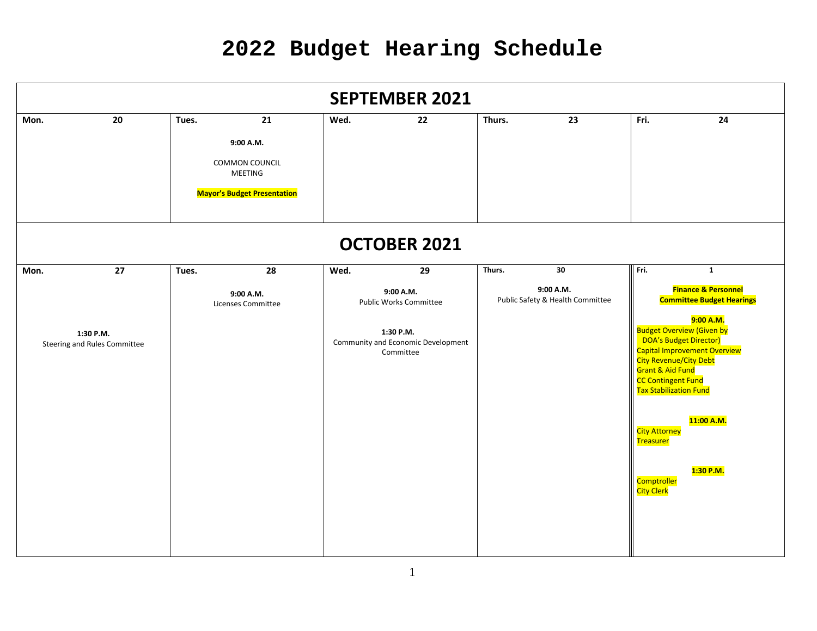| <b>SEPTEMBER 2021</b>                                   |    |       |                                                                                           |      |                                                                                                                  |        |                                                     |                                                                                                                                                                                                                                                                |                                                                                                                                                                         |  |  |
|---------------------------------------------------------|----|-------|-------------------------------------------------------------------------------------------|------|------------------------------------------------------------------------------------------------------------------|--------|-----------------------------------------------------|----------------------------------------------------------------------------------------------------------------------------------------------------------------------------------------------------------------------------------------------------------------|-------------------------------------------------------------------------------------------------------------------------------------------------------------------------|--|--|
| Mon.                                                    | 20 | Tues. | 21<br>9:00 A.M.<br>COMMON COUNCIL<br><b>MEETING</b><br><b>Mayor's Budget Presentation</b> | Wed. | 22                                                                                                               | Thurs. | 23                                                  | Fri.                                                                                                                                                                                                                                                           | 24                                                                                                                                                                      |  |  |
|                                                         |    |       |                                                                                           |      | <b>OCTOBER 2021</b>                                                                                              |        |                                                     |                                                                                                                                                                                                                                                                |                                                                                                                                                                         |  |  |
| 27<br>Mon.<br>1:30 P.M.<br>Steering and Rules Committee |    | Tues. | 28<br>9:00 A.M.<br>Licenses Committee                                                     | Wed. | 29<br>9:00 A.M.<br><b>Public Works Committee</b><br>1:30 P.M.<br>Community and Economic Development<br>Committee | Thurs. | 30<br>9:00 A.M.<br>Public Safety & Health Committee | Fri.<br><b>Budget Overview (Given by</b><br>DOA's Budget Director)<br><b>City Revenue/City Debt</b><br>Grant & Aid Fund<br><b>CC Contingent Fund</b><br>Tax Stabilization Fund<br><b>City Attorney</b><br><b>Treasurer</b><br><b>Comptroller</b><br>City Clerk | $\mathbf{1}$<br><b>Finance &amp; Personnel</b><br><b>Committee Budget Hearings</b><br>9:00 A.M.<br>Capital Improvement Overview<br><mark>11:00 A.M.</mark><br>1:30 P.M. |  |  |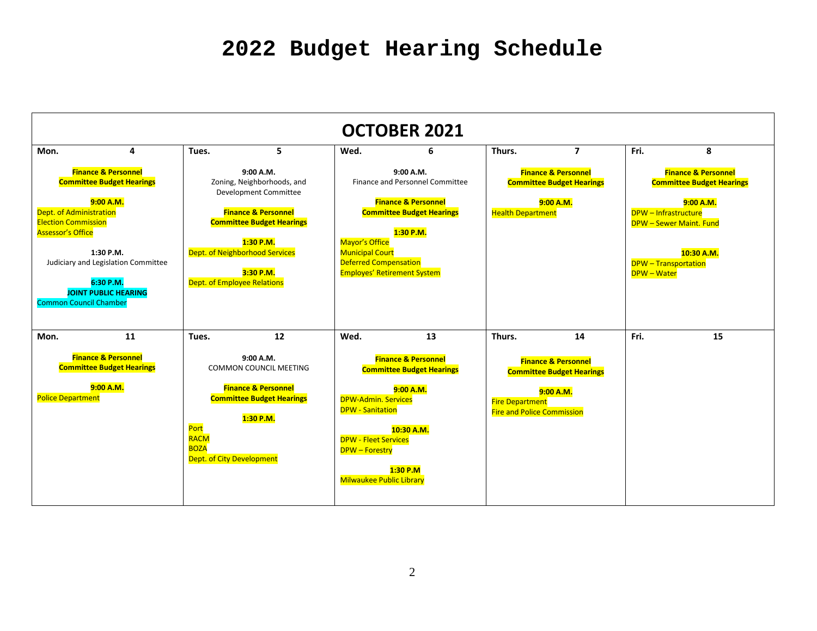| <b>OCTOBER 2021</b>                                                                                                                                                                                                                                                                                   |   |                                                                                                                                                                                                                                   |                                                                                                                                     |                                                                                                                                                                                                                                                                             |   |                                                                                                             |                                                                                       |                                                                                                                                                                                                                     |    |  |  |
|-------------------------------------------------------------------------------------------------------------------------------------------------------------------------------------------------------------------------------------------------------------------------------------------------------|---|-----------------------------------------------------------------------------------------------------------------------------------------------------------------------------------------------------------------------------------|-------------------------------------------------------------------------------------------------------------------------------------|-----------------------------------------------------------------------------------------------------------------------------------------------------------------------------------------------------------------------------------------------------------------------------|---|-------------------------------------------------------------------------------------------------------------|---------------------------------------------------------------------------------------|---------------------------------------------------------------------------------------------------------------------------------------------------------------------------------------------------------------------|----|--|--|
| Mon.                                                                                                                                                                                                                                                                                                  | 4 | Tues.                                                                                                                                                                                                                             | 5                                                                                                                                   | Wed.                                                                                                                                                                                                                                                                        | 6 | Thurs.                                                                                                      | $\overline{7}$                                                                        | Fri.                                                                                                                                                                                                                | 8  |  |  |
| <b>Finance &amp; Personnel</b><br><b>Committee Budget Hearings</b><br>9:00 A.M.<br>Dept. of Administration<br><b>Election Commission</b><br><b>Assessor's Office</b><br>1:30 P.M.<br>Judiciary and Legislation Committee<br>6:30 P.M.<br><b>JOINT PUBLIC HEARING</b><br><b>Common Council Chamber</b> |   | 9:00 A.M.<br>Zoning, Neighborhoods, and<br>Development Committee<br><b>Finance &amp; Personnel</b><br><b>Committee Budget Hearings</b><br>1:30 P.M.<br>Dept. of Neighborhood Services<br>3:30 P.M.<br>Dept. of Employee Relations |                                                                                                                                     | 9:00 A.M.<br>Finance and Personnel Committee<br><b>Finance &amp; Personnel</b><br><b>Committee Budget Hearings</b><br>1:30 P.M.<br><b>Mavor's Office</b><br><b>Municipal Court</b><br><b>Deferred Compensation</b><br><b>Employes' Retirement System</b>                    |   | <b>Finance &amp; Personnel</b><br><b>Committee Budget Hearings</b><br>9:00 A.M.<br><b>Health Department</b> |                                                                                       | <b>Finance &amp; Personnel</b><br><b>Committee Budget Hearings</b><br>9:00 A.M.<br><b>DPW</b> - Infrastructure<br><b>DPW - Sewer Maint. Fund</b><br>10:30 A.M.<br><b>DPW</b> - Transportation<br><b>DPW - Water</b> |    |  |  |
| 11<br>Mon.<br><b>Finance &amp; Personnel</b><br><b>Committee Budget Hearings</b><br>9:00 A.M.<br><b>Police Department</b>                                                                                                                                                                             |   | Tues.<br>Port<br><b>RACM</b><br><b>BOZA</b><br>Dept. of City Development                                                                                                                                                          | 12<br>9:00 A.M.<br><b>COMMON COUNCIL MEETING</b><br><b>Finance &amp; Personnel</b><br><b>Committee Budget Hearings</b><br>1:30 P.M. | Wed.<br>13<br><b>Finance &amp; Personnel</b><br><b>Committee Budget Hearings</b><br>9:00 A.M.<br><b>DPW-Admin. Services</b><br><b>DPW - Sanitation</b><br>10:30 A.M.<br><b>DPW - Fleet Services</b><br><b>DPW</b> - Forestry<br>1:30 P.M<br><b>Milwaukee Public Library</b> |   | Thurs.<br><b>Fire Department</b><br><b>Fire and Police Commission</b>                                       | 14<br><b>Finance &amp; Personnel</b><br><b>Committee Budget Hearings</b><br>9:00 A.M. | Fri.                                                                                                                                                                                                                | 15 |  |  |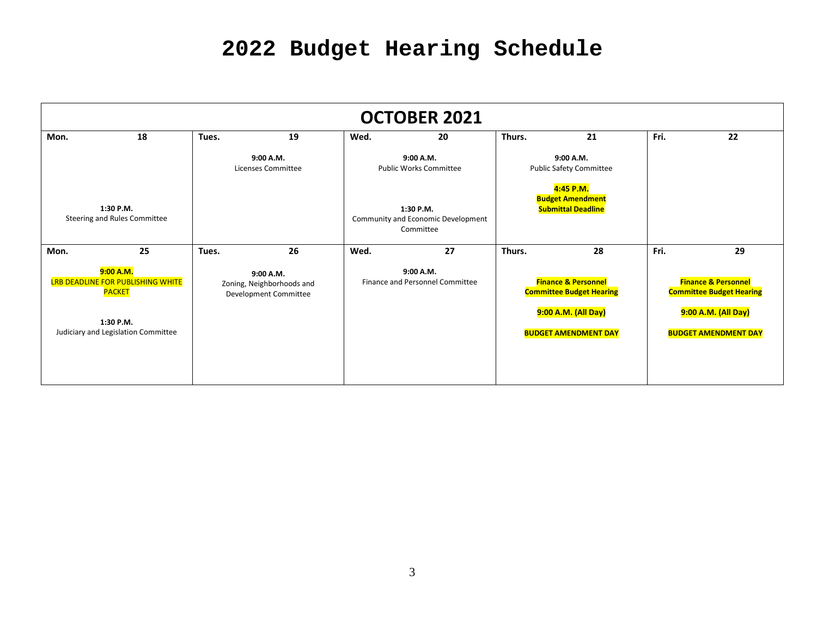| <b>OCTOBER 2021</b>                                                                                                 |                                 |                                                                 |                                            |                                                              |                                             |                                                                                                                         |    |                                                                                                                         |    |  |
|---------------------------------------------------------------------------------------------------------------------|---------------------------------|-----------------------------------------------------------------|--------------------------------------------|--------------------------------------------------------------|---------------------------------------------|-------------------------------------------------------------------------------------------------------------------------|----|-------------------------------------------------------------------------------------------------------------------------|----|--|
| Mon.                                                                                                                | 18                              | 19<br>Tues.                                                     |                                            | Wed.                                                         | 20                                          | Thurs.<br>21                                                                                                            |    | Fri.                                                                                                                    | 22 |  |
|                                                                                                                     | 9:00 A.M.<br>Licenses Committee |                                                                 | 9:00 A.M.<br><b>Public Works Committee</b> |                                                              | 9:00 A.M.<br><b>Public Safety Committee</b> |                                                                                                                         |    |                                                                                                                         |    |  |
| 1:30 P.M.<br>Steering and Rules Committee                                                                           |                                 |                                                                 |                                            | 1:30 P.M.<br>Community and Economic Development<br>Committee |                                             | 4:45 P.M.<br><b>Budget Amendment</b><br><b>Submittal Deadline</b>                                                       |    |                                                                                                                         |    |  |
| Mon.                                                                                                                | 25                              | Tues.                                                           | 26                                         | Wed.                                                         | 27                                          | Thurs.                                                                                                                  | 28 | Fri.                                                                                                                    | 29 |  |
| 9:00 A.M.<br>LRB DEADLINE FOR PUBLISHING WHITE<br><b>PACKET</b><br>1:30 P.M.<br>Judiciary and Legislation Committee |                                 | 9:00 A.M.<br>Zoning, Neighborhoods and<br>Development Committee |                                            | 9:00 A.M.<br>Finance and Personnel Committee                 |                                             | <b>Finance &amp; Personnel</b><br><b>Committee Budget Hearing</b><br>9:00 A.M. (All Day)<br><b>BUDGET AMENDMENT DAY</b> |    | <b>Finance &amp; Personnel</b><br><b>Committee Budget Hearing</b><br>9:00 A.M. (All Day)<br><b>BUDGET AMENDMENT DAY</b> |    |  |
|                                                                                                                     |                                 |                                                                 |                                            |                                                              |                                             |                                                                                                                         |    |                                                                                                                         |    |  |